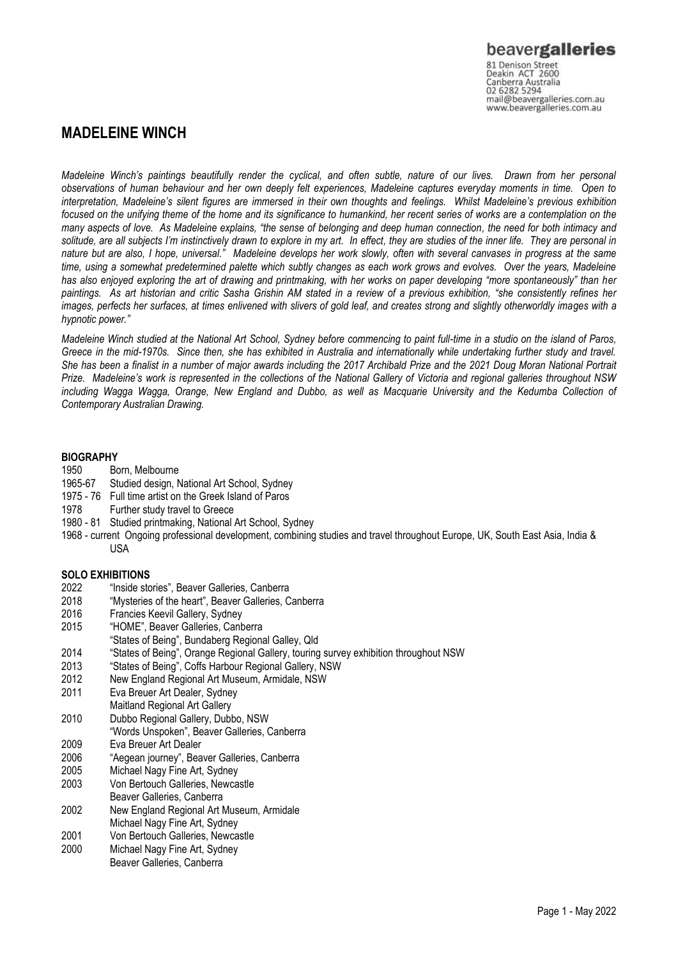# **MADELEINE WINCH**

*Madeleine Winch's paintings beautifully render the cyclical, and often subtle, nature of our lives. Drawn from her personal observations of human behaviour and her own deeply felt experiences, Madeleine captures everyday moments in time. Open to*  interpretation, Madeleine's silent figures are immersed in their own thoughts and feelings. Whilst Madeleine's previous exhibition *focused on the unifying theme of the home and its significance to humankind, her recent series of works are a contemplation on the many aspects of love. As Madeleine explains, "the sense of belonging and deep human connection, the need for both intimacy and solitude, are all subjects I'm instinctively drawn to explore in my art. In effect, they are studies of the inner life. They are personal in nature but are also, I hope, universal." Madeleine develops her work slowly, often with several canvases in progress at the same time, using a somewhat predetermined palette which subtly changes as each work grows and evolves. Over the years, Madeleine has also enjoyed exploring the art of drawing and printmaking, with her works on paper developing "more spontaneously" than her paintings. As art historian and critic Sasha Grishin AM stated in a review of a previous exhibition, "she consistently refines her images, perfects her surfaces, at times enlivened with slivers of gold leaf, and creates strong and slightly otherworldly images with a hypnotic power."*

*Madeleine Winch studied at the National Art School, Sydney before commencing to paint full-time in a studio on the island of Paros, Greece in the mid-1970s. Since then, she has exhibited in Australia and internationally while undertaking further study and travel. She has been a finalist in a number of major awards including the 2017 Archibald Prize and the 2021 Doug Moran National Portrait Prize. Madeleine's work is represented in the collections of the National Gallery of Victoria and regional galleries throughout NSW including Wagga Wagga, Orange, New England and Dubbo, as well as Macquarie University and the Kedumba Collection of Contemporary Australian Drawing.*

#### **BIOGRAPHY**

- 1950 Born, Melbourne
- 1965-67 Studied design, National Art School, Sydney
- 1975 76 Full time artist on the Greek Island of Paros
- 1978 Further study travel to Greece
- 1980 81 Studied printmaking, National Art School, Sydney
- 1968 current Ongoing professional development, combining studies and travel throughout Europe, UK, South East Asia, India & USA

#### **SOLO EXHIBITIONS**

- 2022 "Inside stories", Beaver Galleries, Canberra
- 2018 "Mysteries of the heart", Beaver Galleries, Canberra
- 2016 Francies Keevil Gallery, Sydney
- 2015 "HOME", Beaver Galleries, Canberra
- "States of Being", Bundaberg Regional Galley, Qld
- 2014 "States of Being", Orange Regional Gallery, touring survey exhibition throughout NSW
- 2013 "States of Being", Coffs Harbour Regional Gallery, NSW
- 2012 New England Regional Art Museum, Armidale, NSW
- 2011 Eva Breuer Art Dealer, Sydney
- Maitland Regional Art Gallery
- 2010 Dubbo Regional Gallery, Dubbo, NSW
- "Words Unspoken", Beaver Galleries, Canberra
- 2009 Eva Breuer Art Dealer
- 2006 "Aegean journey", Beaver Galleries, Canberra
- 2005 Michael Nagy Fine Art, Sydney
- 2003 Von Bertouch Galleries, Newcastle
- Beaver Galleries, Canberra
- 2002 New England Regional Art Museum, Armidale
- Michael Nagy Fine Art, Sydney
- 2001 Von Bertouch Galleries, Newcastle
- 2000 Michael Nagy Fine Art, Sydney Beaver Galleries, Canberra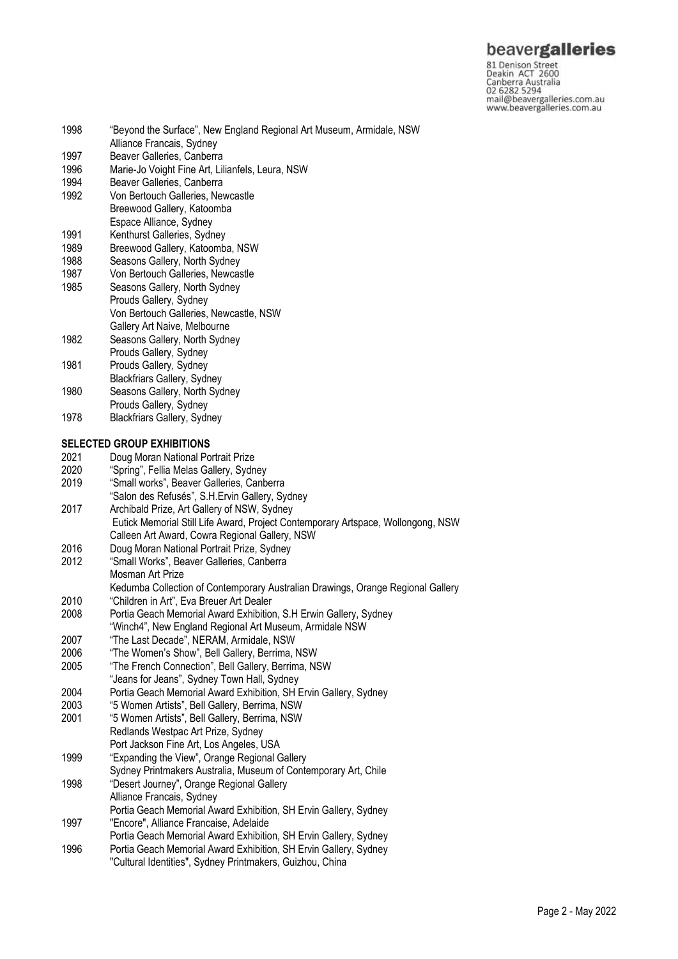# beavergalleries

81 Denison Street<br>Deakin ACT 2600 Canberra Australia 02 6282 5294 mail@beavergalleries.com.au www.beavergalleries.com.au

1998 "Beyond the Surface", New England Regional Art Museum, Armidale, NSW Alliance Francais, Sydney 1997 Beaver Galleries, Canberra<br>1996 Marie-Jo Voight Fine Art. Lil 1996 Marie-Jo Voight Fine Art, Lilianfels, Leura, NSW<br>1994 Beaver Galleries, Canberra Beaver Galleries, Canberra 1992 Von Bertouch Galleries, Newcastle Breewood Gallery, Katoomba Espace Alliance, Sydney 1991 Kenthurst Galleries, Sydney<br>1989 Breewood Gallery, Katoomb 1989 Breewood Gallery, Katoomba, NSW<br>1988 Seasons Gallery, North Sydney Seasons Gallery, North Sydney 1987 Von Bertouch Galleries, Newcastle 1985 Seasons Gallery, North Sydney Prouds Gallery, Sydney Von Bertouch Galleries, Newcastle, NSW Gallery Art Naive, Melbourne 1982 Seasons Gallery, North Sydney Prouds Gallery, Sydney 1981 Prouds Gallery, Sydney Blackfriars Gallery, Sydney 1980 Seasons Gallery, North Sydney Prouds Gallery, Sydney 1978 Blackfriars Gallery, Sydney **SELECTED GROUP EXHIBITIONS** 2021 Doug Moran National Portrait Prize 2020 "Spring", Fellia Melas Gallery, Sydney<br>2019 "Small works". Beaver Galleries. Canb "Small works", Beaver Galleries, Canberra "Salon des Refusés", S.H.Ervin Gallery, Sydney 2017 Archibald Prize, Art Gallery of NSW, Sydney Eutick Memorial Still Life Award, Project Contemporary Artspace, Wollongong, NSW Calleen Art Award, Cowra Regional Gallery, NSW 2016 Doug Moran National Portrait Prize, Sydney 2012 "Small Works", Beaver Galleries, Canberra Mosman Art Prize Kedumba Collection of Contemporary Australian Drawings, Orange Regional Gallery 2010 "Children in Art", Eva Breuer Art Dealer 2008 Portia Geach Memorial Award Exhibition, S.H Erwin Gallery, Sydney "Winch4", New England Regional Art Museum, Armidale NSW 2007 "The Last Decade", NERAM, Armidale, NSW 2006 "The Women's Show", Bell Gallery, Berrima, NSW "The French Connection", Bell Gallery, Berrima, NSW "Jeans for Jeans", Sydney Town Hall, Sydney 2004 Portia Geach Memorial Award Exhibition, SH Ervin Gallery, Sydney 2003 "5 Women Artists", Bell Gallery, Berrima, NSW 2001 "5 Women Artists", Bell Gallery, Berrima, NSW Redlands Westpac Art Prize, Sydney Port Jackson Fine Art, Los Angeles, USA 1999 "Expanding the View", Orange Regional Gallery Sydney Printmakers Australia, Museum of Contemporary Art, Chile 1998 "Desert Journey", Orange Regional Gallery Alliance Francais, Sydney Portia Geach Memorial Award Exhibition, SH Ervin Gallery, Sydney 1997 "Encore", Alliance Francaise, Adelaide Portia Geach Memorial Award Exhibition, SH Ervin Gallery, Sydney 1996 Portia Geach Memorial Award Exhibition, SH Ervin Gallery, Sydney "Cultural Identities", Sydney Printmakers, Guizhou, China